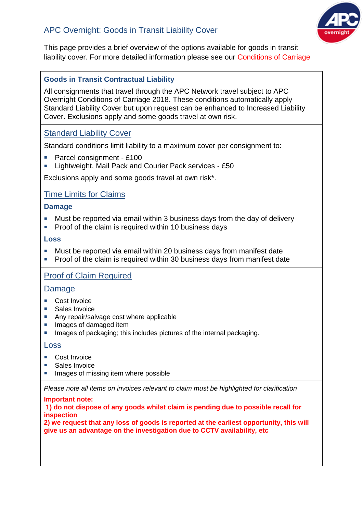

This page provides a brief overview of the options available for goods in transit liability cover. For more detailed information please see our Conditions of Carriage

# **Goods in Transit Contractual Liability**

All consignments that travel through the APC Network travel subject to APC Overnight Conditions of Carriage 2018. These conditions automatically apply Standard Liability Cover but upon request can be enhanced to Increased Liability Cover. Exclusions apply and some goods travel at own risk.

# Standard Liability Cover

Standard conditions limit liability to a maximum cover per consignment to:

- Parcel consignment £100
- **E** Lightweight, Mail Pack and Courier Pack services £50

Exclusions apply and some goods travel at own risk\*.

## Time Limits for Claims

### **Damage**

- **Must be reported via email within 3 business days from the day of delivery**
- **Proof of the claim is required within 10 business days**

### **Loss**

- Must be reported via email within 20 business days from manifest date
- **Proof of the claim is required within 30 business days from manifest date**

## Proof of Claim Required

## Damage

- Cost Invoice
- Sales Invoice
- Any repair/salvage cost where applicable
- **Images of damaged item**
- **IMAGE 15 Images of packaging; this includes pictures of the internal packaging.**

#### Loss

- Cost Invoice
- Sales Invoice
- **IMAGES of missing item where possible**

*Please note all items on invoices relevant to claim must be highlighted for clarification*

#### **Important note:**

**1) do not dispose of any goods whilst claim is pending due to possible recall for inspection**

**2) we request that any loss of goods is reported at the earliest opportunity, this will give us an advantage on the investigation due to CCTV availability, etc**